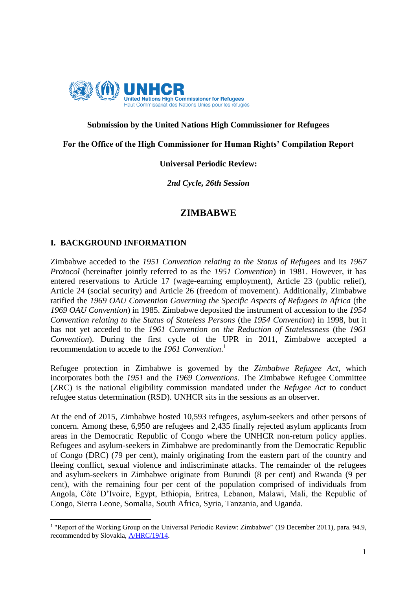

## **Submission by the United Nations High Commissioner for Refugees**

**For the Office of the High Commissioner for Human Rights' Compilation Report**

#### **Universal Periodic Review:**

*2nd Cycle, 26th Session*

# **ZIMBABWE**

#### **I. BACKGROUND INFORMATION**

**.** 

Zimbabwe acceded to the *1951 Convention relating to the Status of Refugees* and its *1967 Protocol* (hereinafter jointly referred to as the *1951 Convention*) in 1981. However, it has entered reservations to Article 17 (wage-earning employment), Article 23 (public relief), Article 24 (social security) and Article 26 (freedom of movement)*.* Additionally, Zimbabwe ratified the *1969 OAU Convention Governing the Specific Aspects of Refugees in Africa* (the *1969 OAU Convention*) in 1985. Zimbabwe deposited the instrument of accession to the *1954 Convention relating to the Status of Stateless Persons* (the *1954 Convention*) in 1998, but it has not yet acceded to the *1961 Convention on the Reduction of Statelessness* (the *1961 Convention*). During the first cycle of the UPR in 2011, Zimbabwe accepted a recommendation to accede to the *1961 Convention*. 1

Refugee protection in Zimbabwe is governed by the *Zimbabwe Refugee Act*, which incorporates both the *1951* and the *1969 Conventions*. The Zimbabwe Refugee Committee (ZRC) is the national eligibility commission mandated under the *Refugee Act* to conduct refugee status determination (RSD). UNHCR sits in the sessions as an observer.

At the end of 2015, Zimbabwe hosted 10,593 refugees, asylum-seekers and other persons of concern. Among these, 6,950 are refugees and 2,435 finally rejected asylum applicants from areas in the Democratic Republic of Congo where the UNHCR non-return policy applies. Refugees and asylum-seekers in Zimbabwe are predominantly from the Democratic Republic of Congo (DRC) (79 per cent), mainly originating from the eastern part of the country and fleeing conflict, sexual violence and indiscriminate attacks. The remainder of the refugees and asylum-seekers in Zimbabwe originate from Burundi (8 per cent) and Rwanda (9 per cent), with the remaining four per cent of the population comprised of individuals from Angola, Côte D'Ivoire, Egypt, Ethiopia, Eritrea, Lebanon, Malawi, Mali, the Republic of Congo, Sierra Leone, Somalia, South Africa, Syria, Tanzania, and Uganda.

<sup>&</sup>lt;sup>1</sup> "Report of the Working Group on the Universal Periodic Review: Zimbabwe" (19 December 2011), para. 94.9, recommended by Slovakia, [A/HRC/19/14.](http://www.ohchr.org/EN/HRBodies/UPR/Pages/ZWSession12.aspx)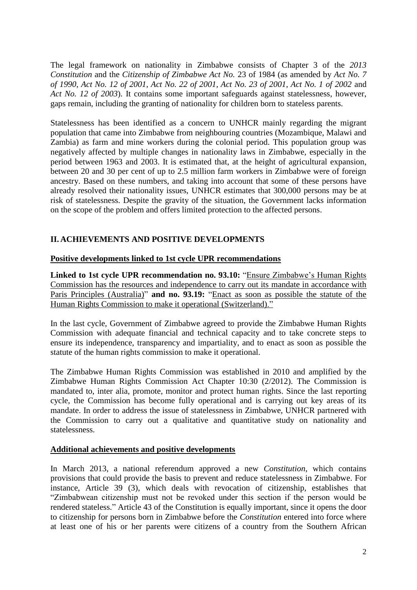The legal framework on nationality in Zimbabwe consists of Chapter 3 of the *2013 Constitution* and the *Citizenship of Zimbabwe Act No.* 23 of 1984 (as amended by *Act No. 7 of 1990, Act No. 12 of 2001, Act No. 22 of 2001, Act No. 23 of 2001, Act No. 1 of 2002* and *Act No. 12 of 2003*). It contains some important safeguards against statelessness, however, gaps remain, including the granting of nationality for children born to stateless parents.

Statelessness has been identified as a concern to UNHCR mainly regarding the migrant population that came into Zimbabwe from neighbouring countries (Mozambique, Malawi and Zambia) as farm and mine workers during the colonial period. This population group was negatively affected by multiple changes in nationality laws in Zimbabwe, especially in the period between 1963 and 2003. It is estimated that, at the height of agricultural expansion, between 20 and 30 per cent of up to 2.5 million farm workers in Zimbabwe were of foreign ancestry. Based on these numbers, and taking into account that some of these persons have already resolved their nationality issues, UNHCR estimates that 300,000 persons may be at risk of statelessness. Despite the gravity of the situation, the Government lacks information on the scope of the problem and offers limited protection to the affected persons.

# **II. ACHIEVEMENTS AND POSITIVE DEVELOPMENTS**

## **Positive developments linked to 1st cycle UPR recommendations**

**Linked to 1st cycle UPR recommendation no. 93.10:** "Ensure Zimbabwe's Human Rights Commission has the resources and independence to carry out its mandate in accordance with Paris Principles (Australia)" **and no. 93.19:** "Enact as soon as possible the statute of the Human Rights Commission to make it operational (Switzerland)."

In the last cycle, Government of Zimbabwe agreed to provide the Zimbabwe Human Rights Commission with adequate financial and technical capacity and to take concrete steps to ensure its independence, transparency and impartiality, and to enact as soon as possible the statute of the human rights commission to make it operational.

The Zimbabwe Human Rights Commission was established in 2010 and amplified by the Zimbabwe Human Rights Commission Act Chapter 10:30 (2/2012). The Commission is mandated to, inter alia, promote, monitor and protect human rights. Since the last reporting cycle, the Commission has become fully operational and is carrying out key areas of its mandate. In order to address the issue of statelessness in Zimbabwe, UNHCR partnered with the Commission to carry out a qualitative and quantitative study on nationality and statelessness.

#### **Additional achievements and positive developments**

In March 2013, a national referendum approved a new *Constitution*, which contains provisions that could provide the basis to prevent and reduce statelessness in Zimbabwe. For instance, Article 39 (3), which deals with revocation of citizenship, establishes that "Zimbabwean citizenship must not be revoked under this section if the person would be rendered stateless." Article 43 of the Constitution is equally important, since it opens the door to citizenship for persons born in Zimbabwe before the *Constitution* entered into force where at least one of his or her parents were citizens of a country from the Southern African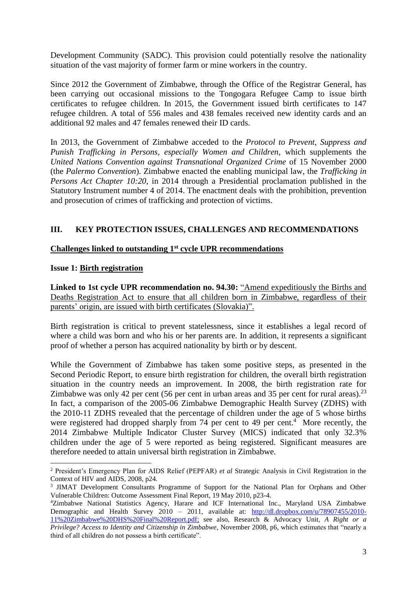Development Community (SADC). This provision could potentially resolve the nationality situation of the vast majority of former farm or mine workers in the country.

Since 2012 the Government of Zimbabwe, through the Office of the Registrar General, has been carrying out occasional missions to the Tongogara Refugee Camp to issue birth certificates to refugee children. In 2015, the Government issued birth certificates to 147 refugee children. A total of 556 males and 438 females received new identity cards and an additional 92 males and 47 females renewed their ID cards.

In 2013, the Government of Zimbabwe acceded to the *Protocol to Prevent, Suppress and Punish Trafficking in Persons, especially Women and Children*, which supplements the *United Nations Convention against Transnational Organized Crime* of 15 November 2000 (the *Palermo Convention*). Zimbabwe enacted the enabling municipal law, the *Trafficking in Persons Act Chapter 10:20*, in 2014 through a Presidential proclamation published in the Statutory Instrument number 4 of 2014. The enactment deals with the prohibition, prevention and prosecution of crimes of trafficking and protection of victims.

# **III. KEY PROTECTION ISSUES, CHALLENGES AND RECOMMENDATIONS**

# **Challenges linked to outstanding 1st cycle UPR recommendations**

# **Issue 1: Birth registration**

 $\overline{\phantom{a}}$ 

**Linked to 1st cycle UPR recommendation no. 94.30:** "Amend expeditiously the Births and Deaths Registration Act to ensure that all children born in Zimbabwe, regardless of their parents' origin, are issued with birth certificates (Slovakia)".

Birth registration is critical to prevent statelessness, since it establishes a legal record of where a child was born and who his or her parents are. In addition, it represents a significant proof of whether a person has acquired nationality by birth or by descent.

While the Government of Zimbabwe has taken some positive steps, as presented in the Second Periodic Report, to ensure birth registration for children, the overall birth registration situation in the country needs an improvement. In 2008, the birth registration rate for Zimbabwe was only 42 per cent (56 per cent in urban areas and 35 per cent for rural areas).<sup>23</sup> In fact, a comparison of the 2005-06 Zimbabwe Demographic Health Survey (ZDHS) with the 2010-11 ZDHS revealed that the percentage of children under the age of 5 whose births were registered had dropped sharply from 74 per cent to 49 per cent.<sup>4</sup> More recently, the 2014 Zimbabwe Multiple Indicator Cluster Survey (MICS) indicated that only 32.3% children under the age of 5 were reported as being registered. Significant measures are therefore needed to attain universal birth registration in Zimbabwe.

<sup>2</sup> President's Emergency Plan for AIDS Relief (PEPFAR) *et al* Strategic Analysis in Civil Registration in the Context of HIV and AIDS, 2008, p24.

<sup>3</sup> JIMAT Development Consultants Programme of Support for the National Plan for Orphans and Other Vulnerable Children: Outcome Assessment Final Report, 19 May 2010, p23-4.

<sup>4</sup>Zimbabwe National Statistics Agency, Harare and ICF International Inc., Maryland USA Zimbabwe Demographic and Health Survey 2010 – 2011, available at: [http://dl.dropbox.com/u/78907455/2010-](http://dl.dropbox.com/u/78907455/2010-11%20Zimbabwe%20DHS%20Final%20Report.pdf) [11%20Zimbabwe%20DHS%20Final%20Report.pdf;](http://dl.dropbox.com/u/78907455/2010-11%20Zimbabwe%20DHS%20Final%20Report.pdf) see also, Research & Advocacy Unit*, A Right or a Privilege? Access to Identity and Citizenship in Zimbabwe,* November 2008, p6, which estimates that "nearly a third of all children do not possess a birth certificate".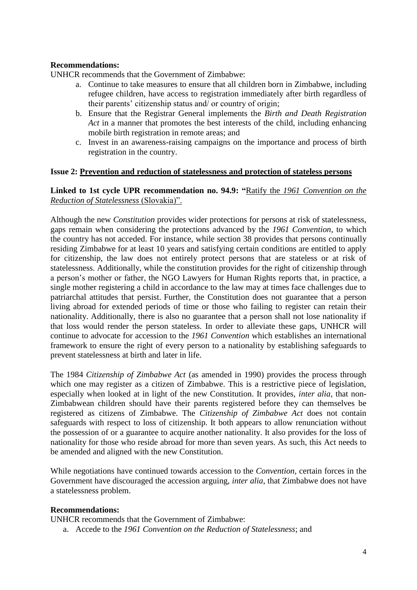## **Recommendations:**

UNHCR recommends that the Government of Zimbabwe:

- a. Continue to take measures to ensure that all children born in Zimbabwe, including refugee children, have access to registration immediately after birth regardless of their parents' citizenship status and/ or country of origin;
- b. Ensure that the Registrar General implements the *Birth and Death Registration Act* in a manner that promotes the best interests of the child, including enhancing mobile birth registration in remote areas; and
- c. Invest in an awareness-raising campaigns on the importance and process of birth registration in the country.

#### **Issue 2: Prevention and reduction of statelessness and protection of stateless persons**

## **Linked to 1st cycle UPR recommendation no. 94.9: "**Ratify the *1961 Convention on the Reduction of Statelessness* (Slovakia)".

Although the new *Constitution* provides wider protections for persons at risk of statelessness, gaps remain when considering the protections advanced by the *1961 Convention*, to which the country has not acceded. For instance, while section 38 provides that persons continually residing Zimbabwe for at least 10 years and satisfying certain conditions are entitled to apply for citizenship, the law does not entirely protect persons that are stateless or at risk of statelessness. Additionally, while the constitution provides for the right of citizenship through a person's mother or father, the NGO Lawyers for Human Rights reports that, in practice, a single mother registering a child in accordance to the law may at times face challenges due to patriarchal attitudes that persist. Further, the Constitution does not guarantee that a person living abroad for extended periods of time or those who failing to register can retain their nationality. Additionally, there is also no guarantee that a person shall not lose nationality if that loss would render the person stateless. In order to alleviate these gaps, UNHCR will continue to advocate for accession to the *1961 Convention* which establishes an international framework to ensure the right of every person to a nationality by establishing safeguards to prevent statelessness at birth and later in life.

The 1984 *Citizenship of Zimbabwe Act* (as amended in 1990) provides the process through which one may register as a citizen of Zimbabwe. This is a restrictive piece of legislation, especially when looked at in light of the new Constitution. It provides, *inter alia*, that non-Zimbabwean children should have their parents registered before they can themselves be registered as citizens of Zimbabwe. The *Citizenship of Zimbabwe Act* does not contain safeguards with respect to loss of citizenship. It both appears to allow renunciation without the possession of or a guarantee to acquire another nationality. It also provides for the loss of nationality for those who reside abroad for more than seven years. As such, this Act needs to be amended and aligned with the new Constitution.

While negotiations have continued towards accession to the *Convention*, certain forces in the Government have discouraged the accession arguing, *inter alia*, that Zimbabwe does not have a statelessness problem.

#### **Recommendations:**

UNHCR recommends that the Government of Zimbabwe:

a. Accede to the *1961 Convention on the Reduction of Statelessness*; and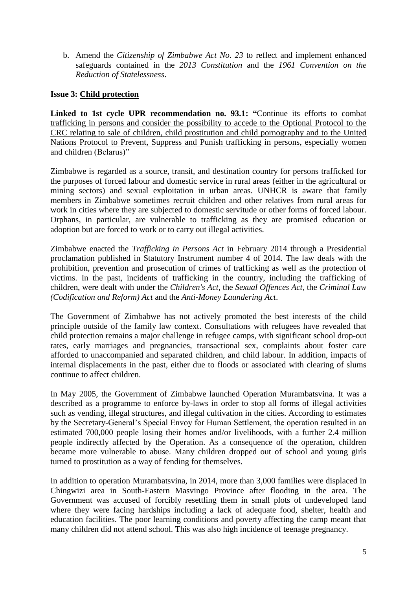b. Amend the *Citizenship of Zimbabwe Act No. 23* to reflect and implement enhanced safeguards contained in the *2013 Constitution* and the *1961 Convention on the Reduction of Statelessness*.

## **Issue 3: Child protection**

**Linked to 1st cycle UPR recommendation no. 93.1: "**Continue its efforts to combat trafficking in persons and consider the possibility to accede to the Optional Protocol to the CRC relating to sale of children, child prostitution and child pornography and to the United Nations Protocol to Prevent, Suppress and Punish trafficking in persons, especially women and children (Belarus)"

Zimbabwe is regarded as a source, transit, and destination country for persons trafficked for the purposes of forced labour and domestic service in rural areas (either in the agricultural or mining sectors) and sexual exploitation in urban areas. UNHCR is aware that family members in Zimbabwe sometimes recruit children and other relatives from rural areas for work in cities where they are subjected to domestic servitude or other forms of forced labour. Orphans, in particular, are vulnerable to trafficking as they are promised education or adoption but are forced to work or to carry out illegal activities.

Zimbabwe enacted the *Trafficking in Persons Act* in February 2014 through a Presidential proclamation published in Statutory Instrument number 4 of 2014. The law deals with the prohibition, prevention and prosecution of crimes of trafficking as well as the protection of victims. In the past, incidents of trafficking in the country, including the trafficking of children, were dealt with under the *Children's Act*, the *Sexual Offences Act*, the *Criminal Law (Codification and Reform) Act* and the *Anti-Money Laundering Act*.

The Government of Zimbabwe has not actively promoted the best interests of the child principle outside of the family law context. Consultations with refugees have revealed that child protection remains a major challenge in refugee camps, with significant school drop-out rates, early marriages and pregnancies, transactional sex, complaints about foster care afforded to unaccompanied and separated children, and child labour. In addition, impacts of internal displacements in the past, either due to floods or associated with clearing of slums continue to affect children.

In May 2005, the Government of Zimbabwe launched Operation Murambatsvina. It was a described as a programme to enforce by-laws in order to stop all forms of illegal activities such as vending, illegal structures, and illegal cultivation in the cities. According to estimates by the Secretary-General's Special Envoy for Human Settlement, the operation resulted in an estimated 700,000 people losing their homes and/or livelihoods, with a further 2.4 million people indirectly affected by the Operation. As a consequence of the operation, children became more vulnerable to abuse. Many children dropped out of school and young girls turned to prostitution as a way of fending for themselves.

In addition to operation Murambatsvina, in 2014, more than 3,000 families were displaced in Chingwizi area in South-Eastern Masvingo Province after flooding in the area. The Government was accused of forcibly resettling them in small plots of undeveloped land where they were facing hardships including a lack of adequate food, shelter, health and education facilities. The poor learning conditions and poverty affecting the camp meant that many children did not attend school. This was also high incidence of teenage pregnancy.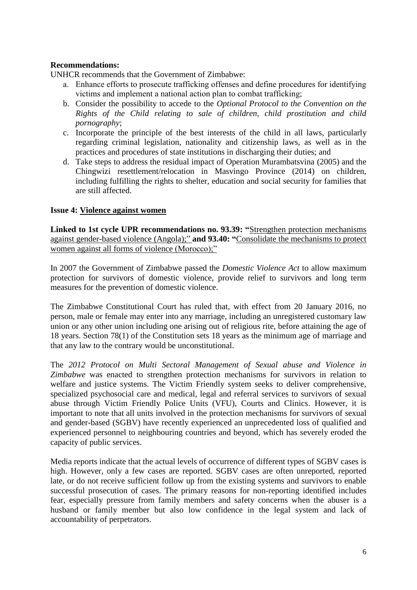# **Recommendations:**

UNHCR recommends that the Government of Zimbabwe:

- a. Enhance efforts to prosecute trafficking offenses and define procedures for identifying victims and implement a national action plan to combat trafficking;
- b. Consider the possibility to accede to the *Optional Protocol to the Convention on the Rights of the Child relating to sale of children, child prostitution and child pornography*;
- c. Incorporate the principle of the best interests of the child in all laws, particularly regarding criminal legislation, nationality and citizenship laws, as well as in the practices and procedures of state institutions in discharging their duties; and
- d. Take steps to address the residual impact of Operation Murambatsvina (2005) and the Chingwizi resettlement/relocation in Masvingo Province (2014) on children, including fulfilling the rights to shelter, education and social security for families that are still affected.

## **Issue 4: Violence against women**

**Linked to 1st cycle UPR recommendations no. 93.39: "**Strengthen protection mechanisms against gender-based violence (Angola);" **and 93.40: "**Consolidate the mechanisms to protect women against all forms of violence (Morocco);"

In 2007 the Government of Zimbabwe passed the *Domestic Violence Act* to allow maximum protection for survivors of domestic violence, provide relief to survivors and long term measures for the prevention of domestic violence.

The Zimbabwe Constitutional Court has ruled that, with effect from 20 January 2016, no person, male or female may enter into any marriage, including an unregistered customary law union or any other union including one arising out of religious rite, before attaining the age of 18 years. Section 78(1) of the Constitution sets 18 years as the minimum age of marriage and that any law to the contrary would be unconstitutional.

The *2012 Protocol on Multi Sectoral Management of Sexual abuse and Violence in Zimbabwe* was enacted to strengthen protection mechanisms for survivors in relation to welfare and justice systems. The Victim Friendly system seeks to deliver comprehensive, specialized psychosocial care and medical, legal and referral services to survivors of sexual abuse through Victim Friendly Police Units (VFU), Courts and Clinics. However, it is important to note that all units involved in the protection mechanisms for survivors of sexual and gender-based (SGBV) have recently experienced an unprecedented loss of qualified and experienced personnel to neighbouring countries and beyond, which has severely eroded the capacity of public services.

Media reports indicate that the actual levels of occurrence of different types of SGBV cases is high. However, only a few cases are reported. SGBV cases are often unreported, reported late, or do not receive sufficient follow up from the existing systems and survivors to enable successful prosecution of cases. The primary reasons for non-reporting identified includes fear, especially pressure from family members and safety concerns when the abuser is a husband or family member but also low confidence in the legal system and lack of accountability of perpetrators.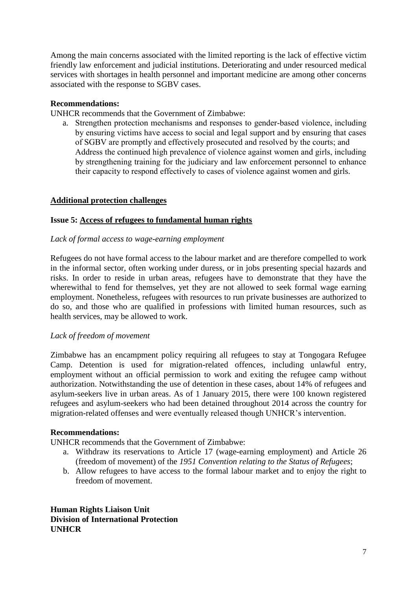Among the main concerns associated with the limited reporting is the lack of effective victim friendly law enforcement and judicial institutions. Deteriorating and under resourced medical services with shortages in health personnel and important medicine are among other concerns associated with the response to SGBV cases.

## **Recommendations:**

UNHCR recommends that the Government of Zimbabwe:

a. Strengthen protection mechanisms and responses to gender-based violence, including by ensuring victims have access to social and legal support and by ensuring that cases of SGBV are promptly and effectively prosecuted and resolved by the courts; and Address the continued high prevalence of violence against women and girls, including by strengthening training for the judiciary and law enforcement personnel to enhance their capacity to respond effectively to cases of violence against women and girls.

## **Additional protection challenges**

#### **Issue 5: Access of refugees to fundamental human rights**

#### *Lack of formal access to wage-earning employment*

Refugees do not have formal access to the labour market and are therefore compelled to work in the informal sector, often working under duress, or in jobs presenting special hazards and risks. In order to reside in urban areas, refugees have to demonstrate that they have the wherewithal to fend for themselves, yet they are not allowed to seek formal wage earning employment. Nonetheless, refugees with resources to run private businesses are authorized to do so, and those who are qualified in professions with limited human resources, such as health services, may be allowed to work.

#### *Lack of freedom of movement*

Zimbabwe has an encampment policy requiring all refugees to stay at Tongogara Refugee Camp. Detention is used for migration-related offences, including unlawful entry, employment without an official permission to work and exiting the refugee camp without authorization. Notwithstanding the use of detention in these cases, about 14% of refugees and asylum-seekers live in urban areas. As of 1 January 2015, there were 100 known registered refugees and asylum-seekers who had been detained throughout 2014 across the country for migration-related offenses and were eventually released though UNHCR's intervention.

#### **Recommendations:**

UNHCR recommends that the Government of Zimbabwe:

- a. Withdraw its reservations to Article 17 (wage-earning employment) and Article 26 (freedom of movement) of the *1951 Convention relating to the Status of Refugees*;
- b. Allow refugees to have access to the formal labour market and to enjoy the right to freedom of movement.

**Human Rights Liaison Unit Division of International Protection UNHCR**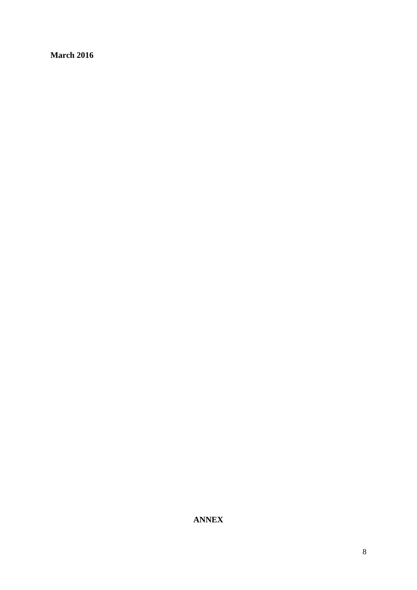**March 2016**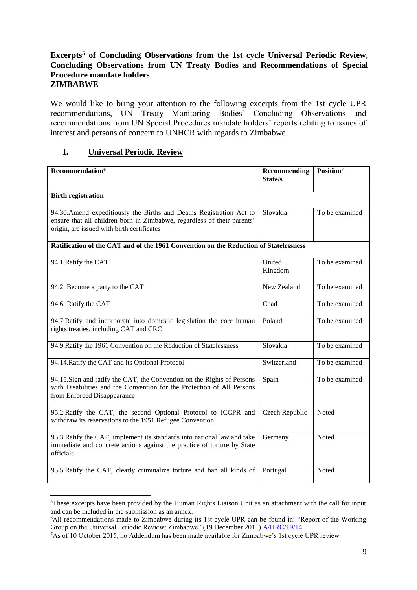## **Excerpts<sup>5</sup> of Concluding Observations from the 1st cycle Universal Periodic Review, Concluding Observations from UN Treaty Bodies and Recommendations of Special Procedure mandate holders ZIMBABWE**

We would like to bring your attention to the following excerpts from the 1st cycle UPR recommendations, UN Treaty Monitoring Bodies' Concluding Observations and recommendations from UN Special Procedures mandate holders' reports relating to issues of interest and persons of concern to UNHCR with regards to Zimbabwe.

# **I. Universal Periodic Review**

**.** 

| Recommendation <sup>6</sup>                                                                                                                                                                   | <b>Recommending</b><br>State/s | Position <sup>7</sup> |  |
|-----------------------------------------------------------------------------------------------------------------------------------------------------------------------------------------------|--------------------------------|-----------------------|--|
| <b>Birth registration</b>                                                                                                                                                                     |                                |                       |  |
| 94.30. Amend expeditiously the Births and Deaths Registration Act to<br>ensure that all children born in Zimbabwe, regardless of their parents'<br>origin, are issued with birth certificates | Slovakia                       | To be examined        |  |
| Ratification of the CAT and of the 1961 Convention on the Reduction of Statelessness                                                                                                          |                                |                       |  |
| 94.1. Ratify the CAT                                                                                                                                                                          | United<br>Kingdom              | To be examined        |  |
| 94.2. Become a party to the CAT                                                                                                                                                               | New Zealand                    | To be examined        |  |
| 94.6. Ratify the CAT                                                                                                                                                                          | Chad                           | To be examined        |  |
| 94.7. Ratify and incorporate into domestic legislation the core human<br>rights treaties, including CAT and CRC                                                                               | Poland                         | To be examined        |  |
| 94.9. Ratify the 1961 Convention on the Reduction of Statelessness                                                                                                                            | Slovakia                       | To be examined        |  |
| 94.14. Ratify the CAT and its Optional Protocol                                                                                                                                               | Switzerland                    | To be examined        |  |
| 94.15. Sign and ratify the CAT, the Convention on the Rights of Persons<br>with Disabilities and the Convention for the Protection of All Persons<br>from Enforced Disappearance              | Spain                          | To be examined        |  |
| 95.2. Ratify the CAT, the second Optional Protocol to ICCPR and<br>withdraw its reservations to the 1951 Refugee Convention                                                                   | <b>Czech Republic</b>          | Noted                 |  |
| 95.3. Ratify the CAT, implement its standards into national law and take<br>immediate and concrete actions against the practice of torture by State<br>officials                              | Germany                        | Noted                 |  |
| 95.5. Ratify the CAT, clearly criminalize torture and ban all kinds of                                                                                                                        | Portugal                       | Noted                 |  |

<sup>5</sup>These excerpts have been provided by the Human Rights Liaison Unit as an attachment with the call for input and can be included in the submission as an annex.

<sup>6</sup>All recommendations made to Zimbabwe during its 1st cycle UPR can be found in: "Report of the Working Group on the Universal Periodic Review: Zimbabwe" (19 December 2011) **A/HRC/19/14.** 

<sup>7</sup>As of 10 October 2015, no Addendum has been made available for Zimbabwe's 1st cycle UPR review.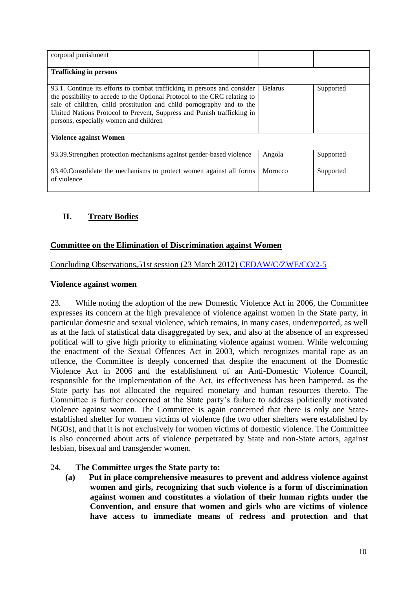| corporal punishment                                                                                                                                                                                                                                                                                                                                |                |           |  |  |
|----------------------------------------------------------------------------------------------------------------------------------------------------------------------------------------------------------------------------------------------------------------------------------------------------------------------------------------------------|----------------|-----------|--|--|
| <b>Trafficking in persons</b>                                                                                                                                                                                                                                                                                                                      |                |           |  |  |
| 93.1. Continue its efforts to combat trafficking in persons and consider<br>the possibility to accede to the Optional Protocol to the CRC relating to<br>sale of children, child prostitution and child pornography and to the<br>United Nations Protocol to Prevent, Suppress and Punish trafficking in<br>persons, especially women and children | <b>Belarus</b> | Supported |  |  |
| Violence against Women                                                                                                                                                                                                                                                                                                                             |                |           |  |  |
| 93.39. Strengthen protection mechanisms against gender-based violence                                                                                                                                                                                                                                                                              | Angola         | Supported |  |  |
| 93.40. Consolidate the mechanisms to protect women against all forms<br>of violence                                                                                                                                                                                                                                                                | Morocco        | Supported |  |  |

# **II. Treaty Bodies**

# **Committee on the Elimination of Discrimination against Women**

Concluding Observations,51st session (23 March 2012) [CEDAW/C/ZWE/CO/2-5](http://tbinternet.ohchr.org/_layouts/treatybodyexternal/Download.aspx?symbolno=CEDAW%2fC%2fZWE%2fCO%2f2-5&Lang=en)

## **Violence against women**

23. While noting the adoption of the new Domestic Violence Act in 2006, the Committee expresses its concern at the high prevalence of violence against women in the State party, in particular domestic and sexual violence, which remains, in many cases, underreported, as well as at the lack of statistical data disaggregated by sex, and also at the absence of an expressed political will to give high priority to eliminating violence against women. While welcoming the enactment of the Sexual Offences Act in 2003, which recognizes marital rape as an offence, the Committee is deeply concerned that despite the enactment of the Domestic Violence Act in 2006 and the establishment of an Anti-Domestic Violence Council, responsible for the implementation of the Act, its effectiveness has been hampered, as the State party has not allocated the required monetary and human resources thereto. The Committee is further concerned at the State party's failure to address politically motivated violence against women. The Committee is again concerned that there is only one Stateestablished shelter for women victims of violence (the two other shelters were established by NGOs), and that it is not exclusively for women victims of domestic violence. The Committee is also concerned about acts of violence perpetrated by State and non-State actors, against lesbian, bisexual and transgender women.

# 24. **The Committee urges the State party to:**

**(a) Put in place comprehensive measures to prevent and address violence against women and girls, recognizing that such violence is a form of discrimination against women and constitutes a violation of their human rights under the Convention, and ensure that women and girls who are victims of violence have access to immediate means of redress and protection and that**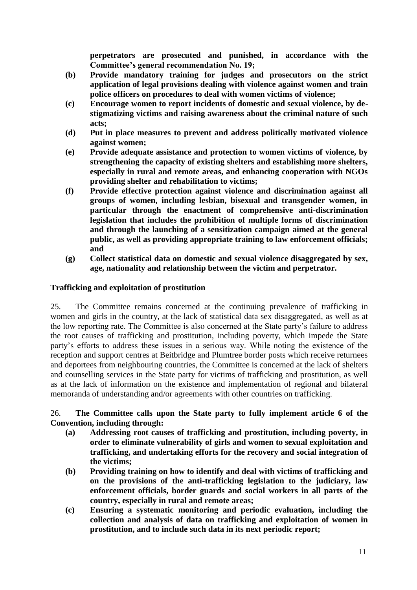**perpetrators are prosecuted and punished, in accordance with the Committee's general recommendation No. 19;** 

- **(b) Provide mandatory training for judges and prosecutors on the strict application of legal provisions dealing with violence against women and train police officers on procedures to deal with women victims of violence;**
- **(c) Encourage women to report incidents of domestic and sexual violence, by destigmatizing victims and raising awareness about the criminal nature of such acts;**
- **(d) Put in place measures to prevent and address politically motivated violence against women;**
- **(e) Provide adequate assistance and protection to women victims of violence, by strengthening the capacity of existing shelters and establishing more shelters, especially in rural and remote areas, and enhancing cooperation with NGOs providing shelter and rehabilitation to victims;**
- **(f) Provide effective protection against violence and discrimination against all groups of women, including lesbian, bisexual and transgender women, in particular through the enactment of comprehensive anti-discrimination legislation that includes the prohibition of multiple forms of discrimination and through the launching of a sensitization campaign aimed at the general public, as well as providing appropriate training to law enforcement officials; and**
- **(g) Collect statistical data on domestic and sexual violence disaggregated by sex, age, nationality and relationship between the victim and perpetrator.**

# **Trafficking and exploitation of prostitution**

25. The Committee remains concerned at the continuing prevalence of trafficking in women and girls in the country, at the lack of statistical data sex disaggregated, as well as at the low reporting rate. The Committee is also concerned at the State party's failure to address the root causes of trafficking and prostitution, including poverty, which impede the State party's efforts to address these issues in a serious way. While noting the existence of the reception and support centres at Beitbridge and Plumtree border posts which receive returnees and deportees from neighbouring countries, the Committee is concerned at the lack of shelters and counselling services in the State party for victims of trafficking and prostitution, as well as at the lack of information on the existence and implementation of regional and bilateral memoranda of understanding and/or agreements with other countries on trafficking.

## 26. **The Committee calls upon the State party to fully implement article 6 of the Convention, including through:**

- **(a) Addressing root causes of trafficking and prostitution, including poverty, in order to eliminate vulnerability of girls and women to sexual exploitation and trafficking, and undertaking efforts for the recovery and social integration of the victims;**
- **(b) Providing training on how to identify and deal with victims of trafficking and on the provisions of the anti-trafficking legislation to the judiciary, law enforcement officials, border guards and social workers in all parts of the country, especially in rural and remote areas;**
- **(c) Ensuring a systematic monitoring and periodic evaluation, including the collection and analysis of data on trafficking and exploitation of women in prostitution, and to include such data in its next periodic report;**